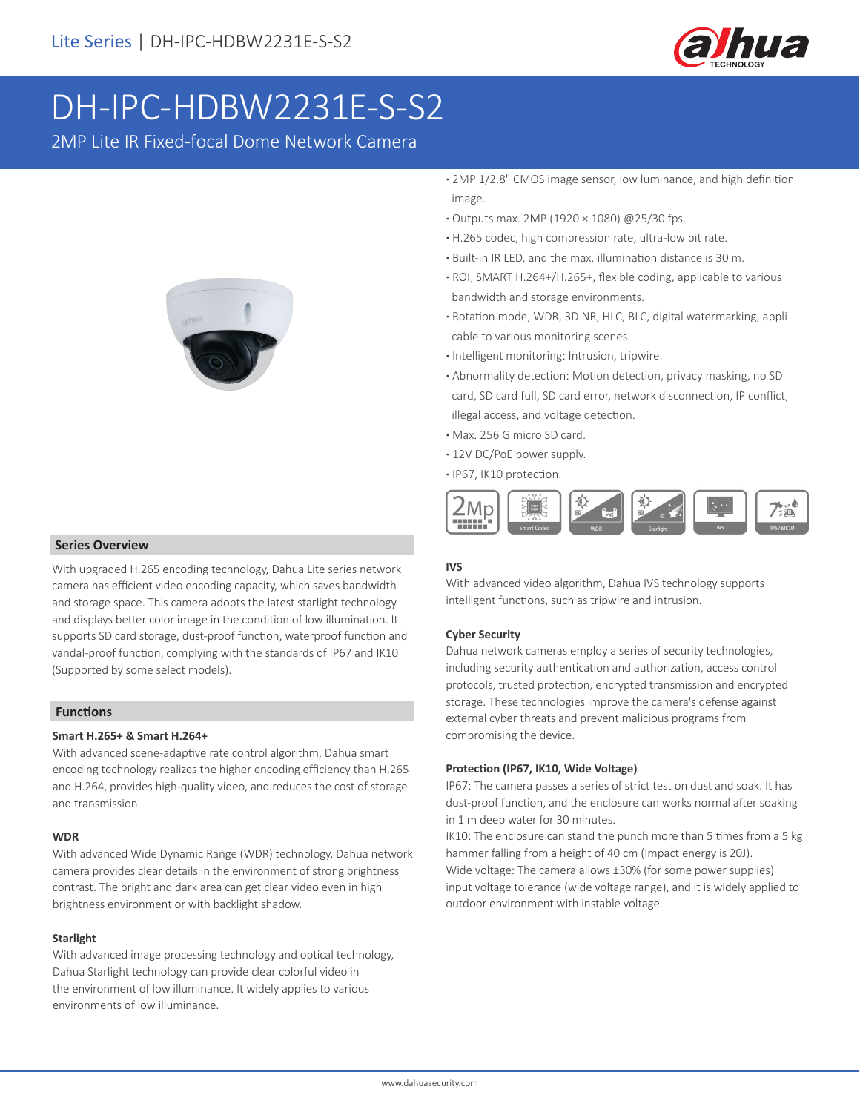

# DH-IPC-HDBW2231E-S-S2

2MP Lite IR Fixed-focal Dome Network Camera



#### **Series Overview**

With upgraded H.265 encoding technology, Dahua Lite series network camera has efficient video encoding capacity, which saves bandwidth and storage space. This camera adopts the latest starlight technology and displays better color image in the condition of low illumination. It supports SD card storage, dust-proof function, waterproof function and vandal-proof function, complying with the standards of IP67 and IK10 (Supported by some select models).

#### **Functions**

#### **Smart H.265+ & Smart H.264+**

With advanced scene-adaptive rate control algorithm, Dahua smart encoding technology realizes the higher encoding efficiency than H.265 and H.264, provides high-quality video, and reduces the cost of storage and transmission.

#### **WDR**

With advanced Wide Dynamic Range (WDR) technology, Dahua network camera provides clear details in the environment of strong brightness contrast. The bright and dark area can get clear video even in high brightness environment or with backlight shadow.

#### **Starlight**

With advanced image processing technology and optical technology, Dahua Starlight technology can provide clear colorful video in the environment of low illuminance. It widely applies to various environments of low illuminance.

- **·** 2MP 1/2.8" CMOS image sensor, low luminance, and high definition image.
- **·** Outputs max. 2MP (1920 × 1080) @25/30 fps.
- **·** H.265 codec, high compression rate, ultra-low bit rate.
- **·** Built-in IR LED, and the max. illumination distance is 30 m.
- **·** ROI, SMART H.264+/H.265+, flexible coding, applicable to various bandwidth and storage environments.
- **·** Rotation mode, WDR, 3D NR, HLC, BLC, digital watermarking, appli cable to various monitoring scenes.
- **·** Intelligent monitoring: Intrusion, tripwire.
- **·** Abnormality detection: Motion detection, privacy masking, no SD card, SD card full, SD card error, network disconnection, IP conflict, illegal access, and voltage detection.
- **·** Max. 256 G micro SD card.
- **·** 12V DC/PoE power supply.
- **·** IP67, IK10 protection.



#### **IVS**

With advanced video algorithm, Dahua IVS technology supports intelligent functions, such as tripwire and intrusion.

#### **Cyber Security**

Dahua network cameras employ a series of security technologies, including security authentication and authorization, access control protocols, trusted protection, encrypted transmission and encrypted storage. These technologies improve the camera's defense against external cyber threats and prevent malicious programs from compromising the device.

#### **Protection (IP67, IK10, Wide Voltage)**

IP67: The camera passes a series of strict test on dust and soak. It has dust-proof function, and the enclosure can works normal after soaking in 1 m deep water for 30 minutes.

IK10: The enclosure can stand the punch more than 5 times from a 5 kg hammer falling from a height of 40 cm (Impact energy is 20J). Wide voltage: The camera allows ±30% (for some power supplies) input voltage tolerance (wide voltage range), and it is widely applied to outdoor environment with instable voltage.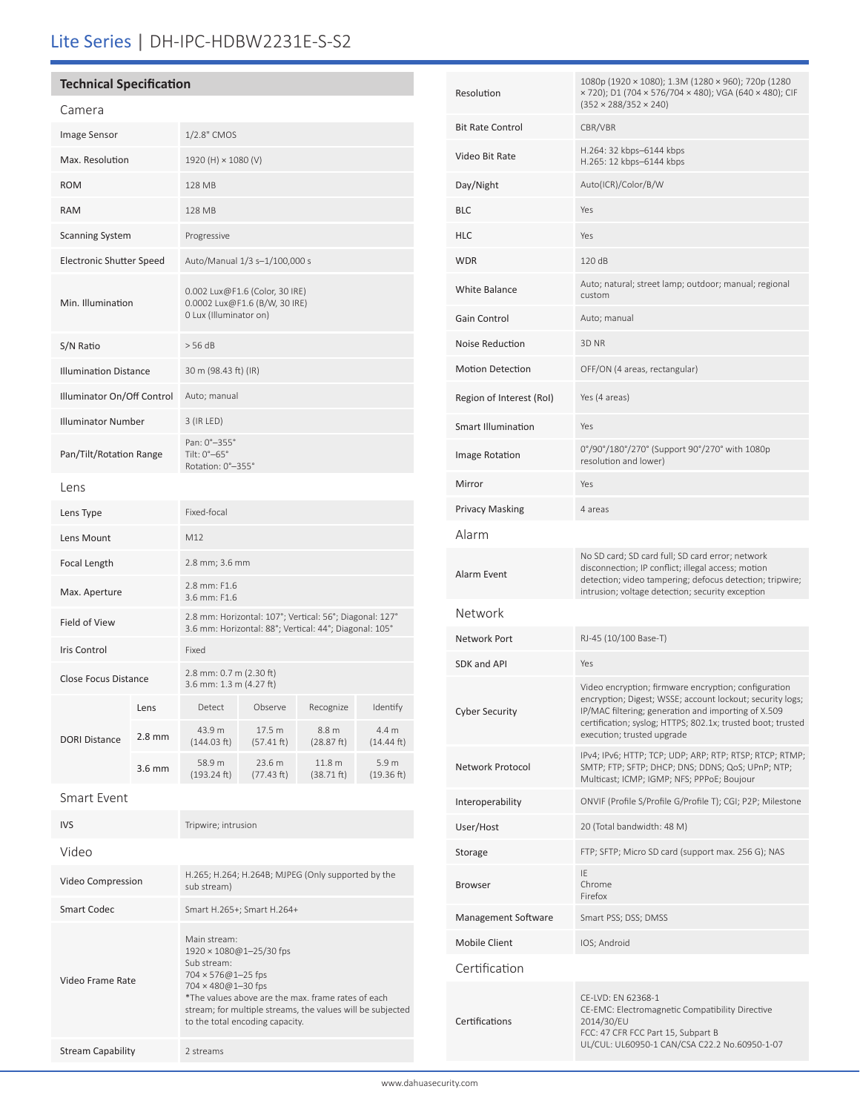# Lite Series | DH-IPC-HDBW2231E-S-S2

# **Technical Specification**

| Camera                          |                  |                                                                                                                   |                      |                      |                     |
|---------------------------------|------------------|-------------------------------------------------------------------------------------------------------------------|----------------------|----------------------|---------------------|
| <b>Image Sensor</b>             |                  | 1/2.8" CMOS                                                                                                       |                      |                      |                     |
| Max. Resolution                 |                  | 1920 (H) × 1080 (V)                                                                                               |                      |                      |                     |
| <b>ROM</b>                      |                  | 128 MB                                                                                                            |                      |                      |                     |
| <b>RAM</b>                      |                  | 128 MB                                                                                                            |                      |                      |                     |
| <b>Scanning System</b>          |                  | Progressive                                                                                                       |                      |                      |                     |
| <b>Electronic Shutter Speed</b> |                  | Auto/Manual 1/3 s-1/100,000 s                                                                                     |                      |                      |                     |
| Min. Illumination               |                  | 0.002 Lux@F1.6 (Color, 30 IRE)<br>0.0002 Lux@F1.6 (B/W, 30 IRE)<br>0 Lux (Illuminator on)                         |                      |                      |                     |
| S/N Ratio                       |                  | > 56 dB                                                                                                           |                      |                      |                     |
| <b>Illumination Distance</b>    |                  | 30 m (98.43 ft) (IR)                                                                                              |                      |                      |                     |
| Illuminator On/Off Control      |                  | Auto; manual                                                                                                      |                      |                      |                     |
| <b>Illuminator Number</b>       |                  | 3 (IR LED)                                                                                                        |                      |                      |                     |
| Pan/Tilt/Rotation Range         |                  | Pan: 0°-355°<br>Tilt: 0°-65°<br>Rotation: 0°-355°                                                                 |                      |                      |                     |
| Lens                            |                  |                                                                                                                   |                      |                      |                     |
| Lens Type                       |                  | Fixed-focal                                                                                                       |                      |                      |                     |
| Lens Mount                      |                  | M12                                                                                                               |                      |                      |                     |
| Focal Length                    |                  | 2.8 mm; 3.6 mm                                                                                                    |                      |                      |                     |
| Max. Aperture                   |                  | 2.8 mm: F1.6<br>3.6 mm: F1.6                                                                                      |                      |                      |                     |
| Field of View                   |                  | 2.8 mm: Horizontal: 107°; Vertical: 56°; Diagonal: 127°<br>3.6 mm: Horizontal: 88°; Vertical: 44°; Diagonal: 105° |                      |                      |                     |
| <b>Iris Control</b>             |                  | Fixed                                                                                                             |                      |                      |                     |
| Close Focus Distance            |                  | 2.8 mm: 0.7 m (2.30 ft)<br>3.6 mm: 1.3 m (4.27 ft)                                                                |                      |                      |                     |
| <b>DORI Distance</b>            | Lens             | Detect                                                                                                            | Observe              | Recognize            | Identify            |
|                                 | $2.8 \text{ mm}$ | 43.9 m<br>(144.03 ft)                                                                                             | 17.5 m<br>(57.41 ft) | 8.8 m<br>(28.87 ft)  | 4.4 m<br>(14.44 ft) |
|                                 | 3.6 mm           | 58.9 m<br>(193.24 ft)                                                                                             | 23.6 m<br>(77.43 ft) | 11.8 m<br>(38.71 ft) | 5.9 m<br>(19.36 ft) |
| Smart Event                     |                  |                                                                                                                   |                      |                      |                     |

| <b>IVS</b>               | Tripwire; intrusion                                                                                                                                                                                                                                                |
|--------------------------|--------------------------------------------------------------------------------------------------------------------------------------------------------------------------------------------------------------------------------------------------------------------|
| Video                    |                                                                                                                                                                                                                                                                    |
| Video Compression        | H.265; H.264; H.264B; MJPEG (Only supported by the<br>sub stream)                                                                                                                                                                                                  |
| Smart Codec              | Smart H.265+; Smart H.264+                                                                                                                                                                                                                                         |
| Video Frame Rate         | Main stream:<br>1920 × 1080@1-25/30 fps<br>Sub stream:<br>$704 \times 576@1 - 25$ fps<br>704 × 480@1-30 fps<br>*The values above are the max, frame rates of each<br>stream; for multiple streams, the values will be subjected<br>to the total encoding capacity. |
| <b>Stream Capability</b> | 2 streams                                                                                                                                                                                                                                                          |

| Resolution                | 1080p (1920 × 1080); 1.3M (1280 × 960); 720p (1280<br>× 720); D1 (704 × 576/704 × 480); VGA (640 × 480); CIF<br>$(352 \times 288/352 \times 240)$                                                                                                                     |
|---------------------------|-----------------------------------------------------------------------------------------------------------------------------------------------------------------------------------------------------------------------------------------------------------------------|
| <b>Bit Rate Control</b>   | CBR/VBR                                                                                                                                                                                                                                                               |
| Video Bit Rate            | H.264: 32 kbps-6144 kbps<br>H.265: 12 kbps-6144 kbps                                                                                                                                                                                                                  |
| Day/Night                 | Auto(ICR)/Color/B/W                                                                                                                                                                                                                                                   |
| BLC                       | Yes                                                                                                                                                                                                                                                                   |
| HLC                       | Yes                                                                                                                                                                                                                                                                   |
| WDR                       | 120 dB                                                                                                                                                                                                                                                                |
| <b>White Balance</b>      | Auto; natural; street lamp; outdoor; manual; regional<br>custom                                                                                                                                                                                                       |
| Gain Control              | Auto; manual                                                                                                                                                                                                                                                          |
| Noise Reduction           | 3D NR                                                                                                                                                                                                                                                                 |
| <b>Motion Detection</b>   | OFF/ON (4 areas, rectangular)                                                                                                                                                                                                                                         |
| Region of Interest (RoI)  | Yes (4 areas)                                                                                                                                                                                                                                                         |
| <b>Smart Illumination</b> | Yes                                                                                                                                                                                                                                                                   |
| Image Rotation            | 0°/90°/180°/270° (Support 90°/270° with 1080p<br>resolution and lower)                                                                                                                                                                                                |
| Mirror                    | Yes                                                                                                                                                                                                                                                                   |
| Privacy Masking           | 4 areas                                                                                                                                                                                                                                                               |
| Alarm                     |                                                                                                                                                                                                                                                                       |
| Alarm Event               | No SD card; SD card full; SD card error; network<br>disconnection; IP conflict; illegal access; motion<br>detection; video tampering; defocus detection; tripwire;<br>intrusion; voltage detection; security exception                                                |
| Network                   |                                                                                                                                                                                                                                                                       |
| Network Port              | RJ-45 (10/100 Base-T)                                                                                                                                                                                                                                                 |
| SDK and API               | Yes                                                                                                                                                                                                                                                                   |
| <b>Cyber Security</b>     | Video encryption; firmware encryption; configuration<br>encryption; Digest; WSSE; account lockout; security logs;<br>IP/MAC filtering; generation and importing of X.509<br>certification; syslog; HTTPS; 802.1x; trusted boot; trusted<br>execution; trusted upgrade |
| Network Protocol          | IPv4; IPv6; HTTP; TCP; UDP; ARP; RTP; RTSP; RTCP; RTMP;<br>SMTP; FTP; SFTP; DHCP; DNS; DDNS; QoS; UPnP; NTP;<br>Multicast; ICMP; IGMP; NFS; PPPoE; Boujour                                                                                                            |
| Interoperability          | ONVIF (Profile S/Profile G/Profile T); CGI; P2P; Milestone                                                                                                                                                                                                            |
| User/Host                 | 20 (Total bandwidth: 48 M)                                                                                                                                                                                                                                            |
| Storage                   | FTP; SFTP; Micro SD card (support max. 256 G); NAS                                                                                                                                                                                                                    |
| Browser                   | IE<br>Chrome<br>Firefox                                                                                                                                                                                                                                               |
| Management Software       | Smart PSS; DSS; DMSS                                                                                                                                                                                                                                                  |
| Mobile Client             | IOS; Android                                                                                                                                                                                                                                                          |
| Certification             |                                                                                                                                                                                                                                                                       |
| Certifications            | CE-LVD: EN 62368-1<br>CE-EMC: Electromagnetic Compatibility Directive<br>2014/30/EU<br>FCC: 47 CFR FCC Part 15, Subpart B<br>UL/CUL: UL60950-1 CAN/CSA C22.2 No.60950-1-07                                                                                            |